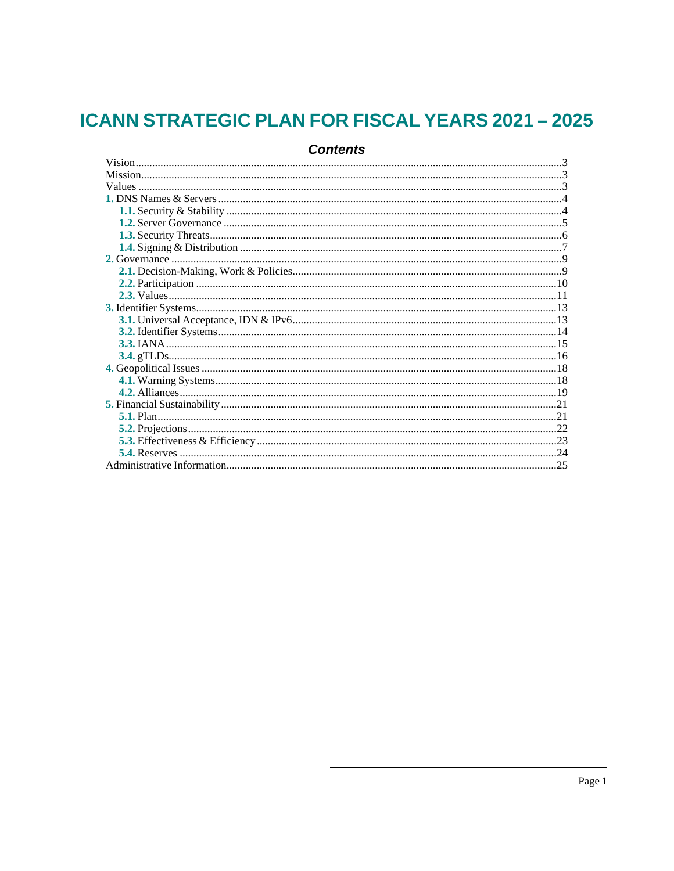# **ICANN STRATEGIC PLAN FOR FISCAL YEARS 2021 - 2025**

### **Contents**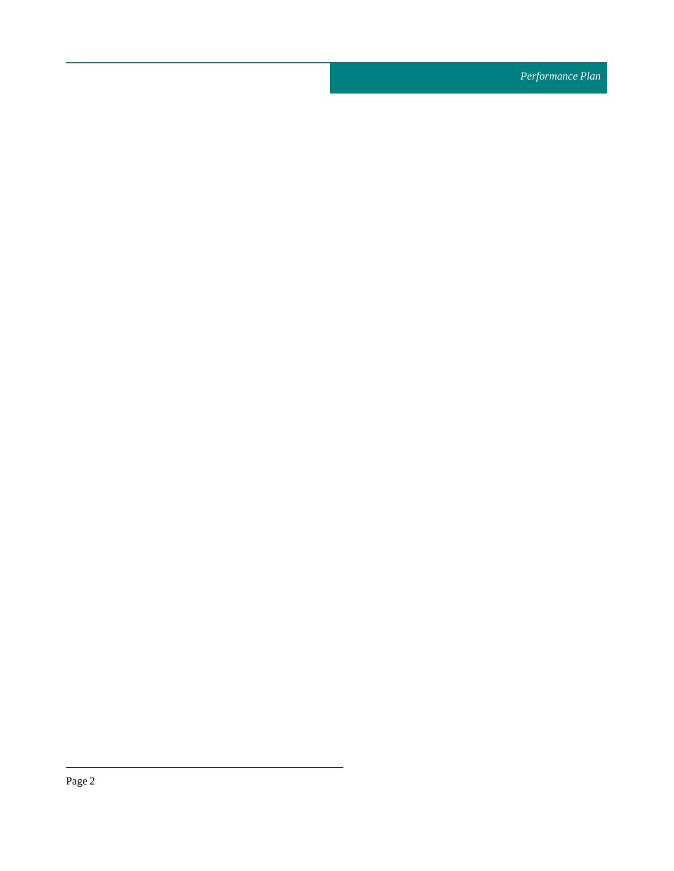*Performance Plan*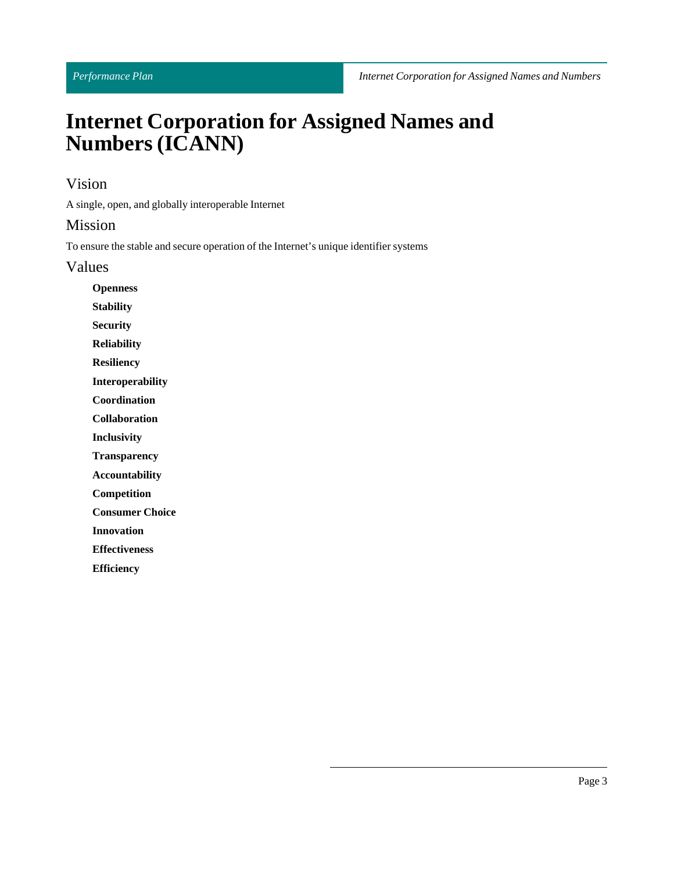# **Internet Corporation for Assigned Names and Numbers (ICANN)**

# <span id="page-2-0"></span>Vision

A single, open, and globally interoperable Internet

# <span id="page-2-1"></span>Mission

To ensure the stable and secure operation of the Internet's unique identifier systems

<span id="page-2-2"></span>Values

**Openness**

**Stability**

**Security**

**Reliability**

**Resiliency**

**Interoperability**

**Coordination**

**Collaboration**

**Inclusivity**

**Transparency**

**Accountability**

**Competition**

**Consumer Choice**

**Innovation**

**Effectiveness**

**Efficiency**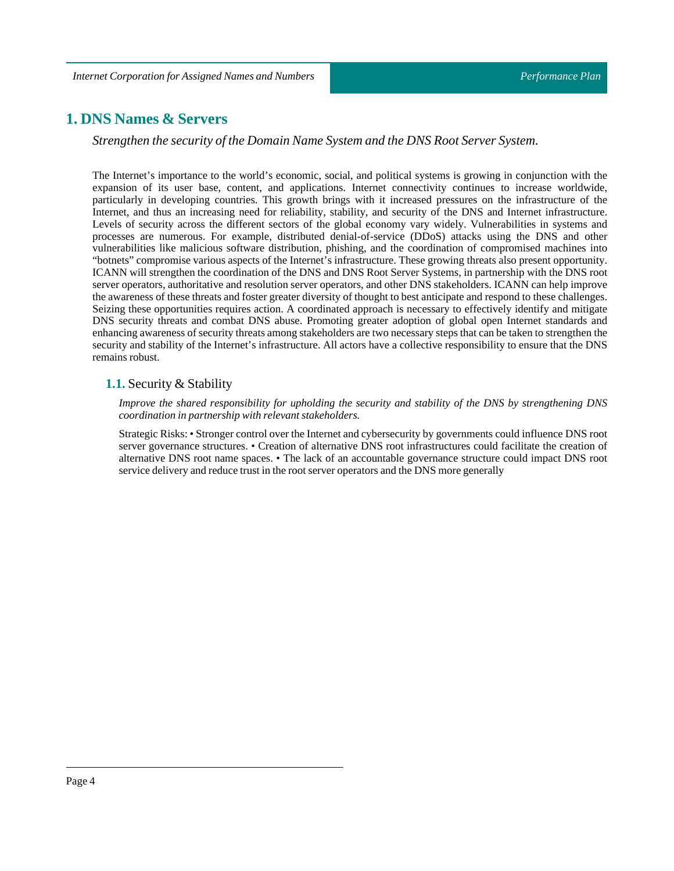# <span id="page-3-0"></span>**1. DNS Names & Servers**

*Strengthen the security of the Domain Name System and the DNS Root Server System.*

The Internet's importance to the world's economic, social, and political systems is growing in conjunction with the expansion of its user base, content, and applications. Internet connectivity continues to increase worldwide, particularly in developing countries. This growth brings with it increased pressures on the infrastructure of the Internet, and thus an increasing need for reliability, stability, and security of the DNS and Internet infrastructure. Levels of security across the different sectors of the global economy vary widely. Vulnerabilities in systems and processes are numerous. For example, distributed denial-of-service (DDoS) attacks using the DNS and other vulnerabilities like malicious software distribution, phishing, and the coordination of compromised machines into "botnets" compromise various aspects of the Internet's infrastructure. These growing threats also present opportunity. ICANN will strengthen the coordination of the DNS and DNS Root Server Systems, in partnership with the DNS root server operators, authoritative and resolution server operators, and other DNS stakeholders. ICANN can help improve the awareness of these threats and foster greater diversity of thought to best anticipate and respond to these challenges. Seizing these opportunities requires action. A coordinated approach is necessary to effectively identify and mitigate DNS security threats and combat DNS abuse. Promoting greater adoption of global open Internet standards and enhancing awareness of security threats among stakeholders are two necessary steps that can be taken to strengthen the security and stability of the Internet's infrastructure. All actors have a collective responsibility to ensure that the DNS remains robust.

### <span id="page-3-1"></span>**1.1.** Security & Stability

*Improve the shared responsibility for upholding the security and stability of the DNS by strengthening DNS coordination in partnership with relevant stakeholders.*

Strategic Risks: •Stronger control over the Internet and cybersecurity by governments could influence DNS root server governance structures. • Creation of alternative DNS root infrastructures could facilitate the creation of alternative DNS root name spaces. • The lack of an accountable governance structure could impact DNS root service delivery and reduce trust in the root server operators and the DNS more generally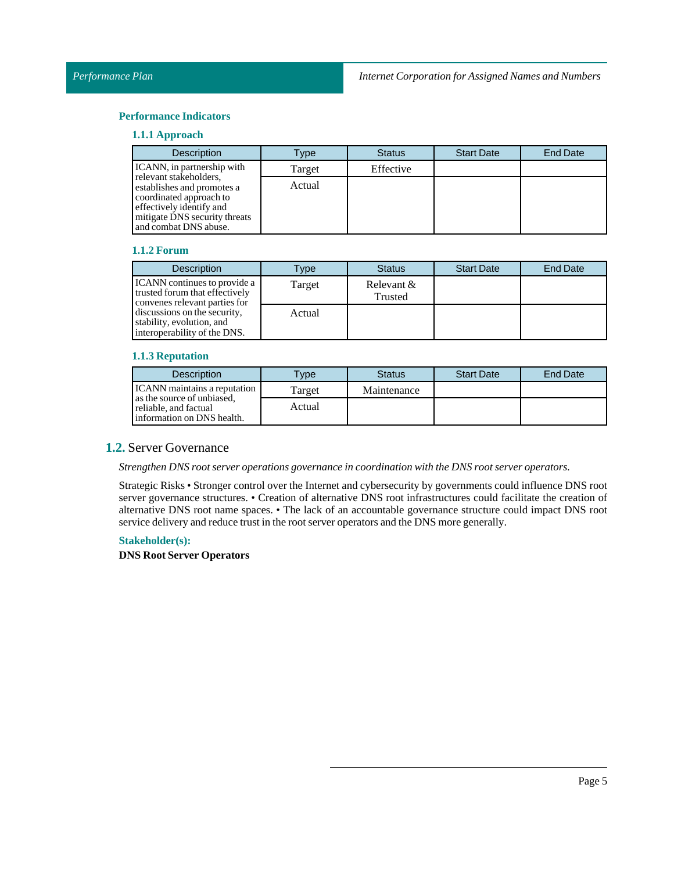#### **1.1.1 Approach**

| <b>Description</b>                                                                                                                                                    | Type   | <b>Status</b> | <b>Start Date</b> | <b>End Date</b> |
|-----------------------------------------------------------------------------------------------------------------------------------------------------------------------|--------|---------------|-------------------|-----------------|
| ICANN, in partnership with                                                                                                                                            | Target | Effective     |                   |                 |
| relevant stakeholders,<br>establishes and promotes a<br>coordinated approach to<br>effectively identify and<br>mitigate DNS security threats<br>and combat DNS abuse. | Actual |               |                   |                 |

#### **1.1.2 Forum**

| <b>Description</b>                                                                                     | Type   | <b>Status</b>         | <b>Start Date</b> | <b>End Date</b> |
|--------------------------------------------------------------------------------------------------------|--------|-----------------------|-------------------|-----------------|
| <b>ICANN</b> continues to provide a<br>trusted forum that effectively<br>convenes relevant parties for | Target | Relevant &<br>Trusted |                   |                 |
| discussions on the security.<br>stability, evolution, and<br>interoperability of the DNS.              | Actual |                       |                   |                 |

### **1.1.3 Reputation**

| <b>Description</b>                                                                | Tvpe   | <b>Status</b> | <b>Start Date</b> | End Date |
|-----------------------------------------------------------------------------------|--------|---------------|-------------------|----------|
| <b>ICANN</b> maintains a reputation                                               | Target | Maintenance   |                   |          |
| as the source of unbiased.<br>reliable, and factual<br>information on DNS health. | Actual |               |                   |          |

### <span id="page-4-0"></span>**1.2.** Server Governance

*Strengthen DNS root server operations governance in coordination with the DNS root server operators.*

Strategic Risks • Stronger control over the Internet and cybersecurity by governments could influence DNS root server governance structures. • Creation of alternative DNS root infrastructures could facilitate the creation of alternative DNS root name spaces. • The lack of an accountable governance structure could impact DNS root service delivery and reduce trust in the root server operators and the DNS more generally.

### **Stakeholder(s):**

#### **DNS** Root Server Operators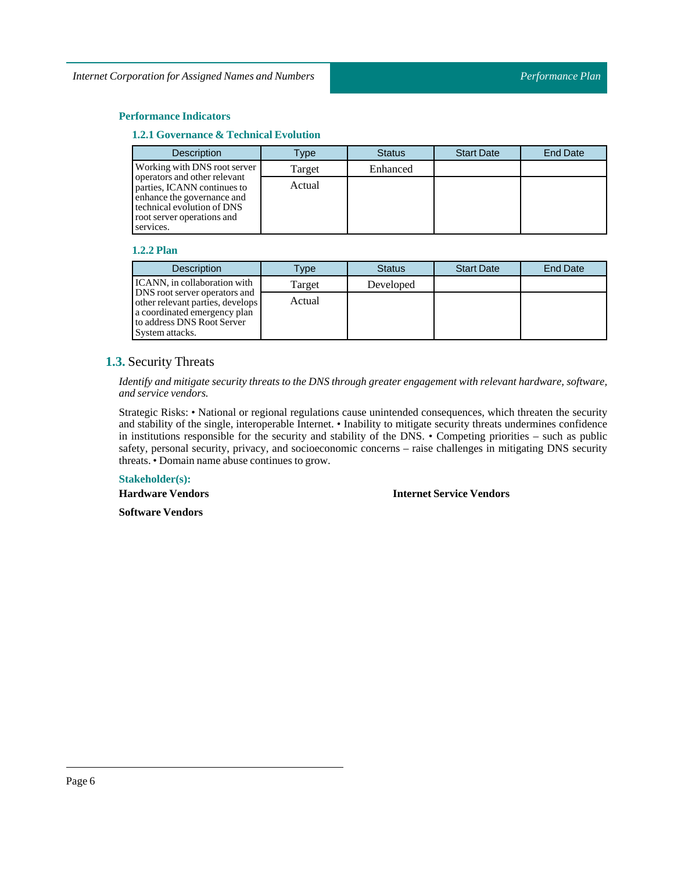#### **1.2.1 Governance & Technical Evolution**

| <b>Description</b>                                                                                                                                                 | Type   | <b>Status</b> | <b>Start Date</b> | <b>End Date</b> |
|--------------------------------------------------------------------------------------------------------------------------------------------------------------------|--------|---------------|-------------------|-----------------|
| Working with DNS root server                                                                                                                                       | Target | Enhanced      |                   |                 |
| operators and other relevant<br>parties, ICANN continues to<br>enhance the governance and<br>technical evolution of DNS<br>root server operations and<br>services. | Actual |               |                   |                 |

#### **1.2.2 Plan**

| <b>Description</b>                                                                                                                                 | Type   | <b>Status</b> | <b>Start Date</b> | <b>End Date</b> |
|----------------------------------------------------------------------------------------------------------------------------------------------------|--------|---------------|-------------------|-----------------|
| ICANN, in collaboration with                                                                                                                       | Target | Developed     |                   |                 |
| DNS root server operators and<br>other relevant parties, develops<br>a coordinated emergency plan<br>to address DNS Root Server<br>System attacks. | Actual |               |                   |                 |

### <span id="page-5-0"></span>**1.3.** Security Threats

*Identify and mitigate security threats to the DNS through greater engagement with relevant hardware, software, and service vendors.*

Strategic Risks: • National or regional regulations cause unintended consequences, which threaten the security and stability of the single, interoperable Internet. • Inability to mitigate security threats undermines confidence in institutions responsible for the security and stability of the DNS. • Competing priorities – such as public safety, personal security, privacy, and socioeconomic concerns – raise challenges in mitigating DNS security threats. • Domain name abuse continues to grow.

#### **Stakeholder(s):**

**Hardware Vendors**

**Internet Service Vendors** 

**Software Vendors**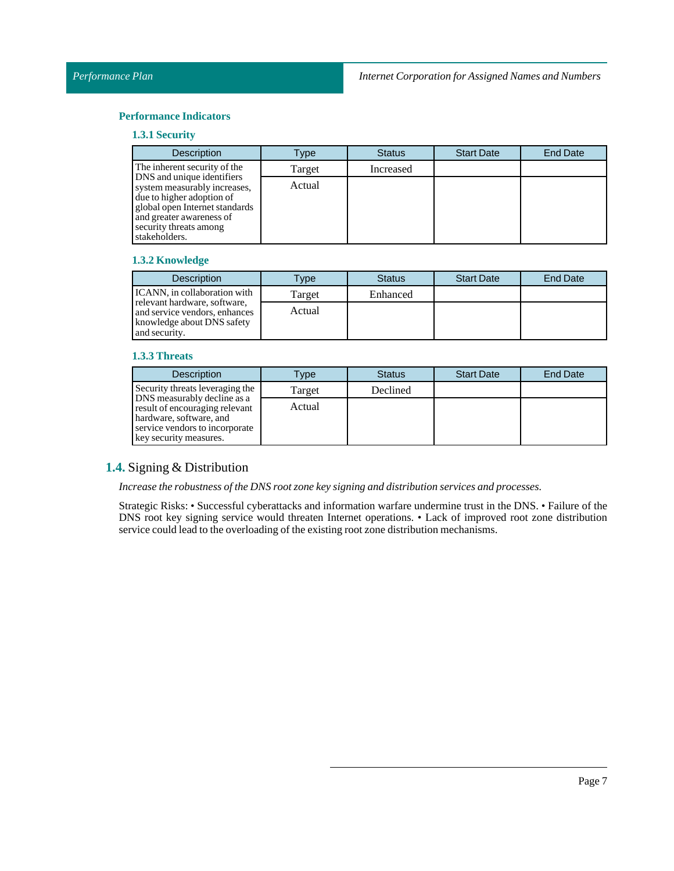#### **1.3.1Security**

| <b>Description</b>                                                                                                                                                                               | Type   | <b>Status</b> | <b>Start Date</b> | <b>End Date</b> |
|--------------------------------------------------------------------------------------------------------------------------------------------------------------------------------------------------|--------|---------------|-------------------|-----------------|
| The inherent security of the                                                                                                                                                                     | Target | Increased     |                   |                 |
| DNS and unique identifiers<br>system measurably increases,<br>due to higher adoption of<br>global open Internet standards<br>and greater awareness of<br>security threats among<br>stakeholders. | Actual |               |                   |                 |

#### **1.3.2 Knowledge**

| <b>Description</b>                                                                                           | <b>Type</b> | <b>Status</b> | <b>Start Date</b> | <b>End Date</b> |
|--------------------------------------------------------------------------------------------------------------|-------------|---------------|-------------------|-----------------|
| <b>ICANN</b> , in collaboration with                                                                         | Target      | Enhanced      |                   |                 |
| relevant hardware, software,<br>and service vendors, enhances<br>knowledge about DNS safety<br>and security. | Actual      |               |                   |                 |

#### **1.3.3 Threats**

| <b>Description</b>                                                                                                                                   | <b>Type</b> | <b>Status</b> | <b>Start Date</b> | <b>End Date</b> |
|------------------------------------------------------------------------------------------------------------------------------------------------------|-------------|---------------|-------------------|-----------------|
| Security threats leveraging the                                                                                                                      | Target      | Declined      |                   |                 |
| DNS measurably decline as a<br>result of encouraging relevant<br>hardware, software, and<br>service vendors to incorporate<br>key security measures. | Actual      |               |                   |                 |

### <span id="page-6-0"></span>**1.4.** Signing & Distribution

*Increase the robustness ofthe DNS root zone key signing and distribution services and processes.*

Strategic Risks: • Successful cyberattacks and information warfare undermine trust in the DNS. • Failure of the DNS root key signing service would threaten Internet operations. • Lack of improved root zone distribution service could lead to the overloading of the existing root zone distribution mechanisms.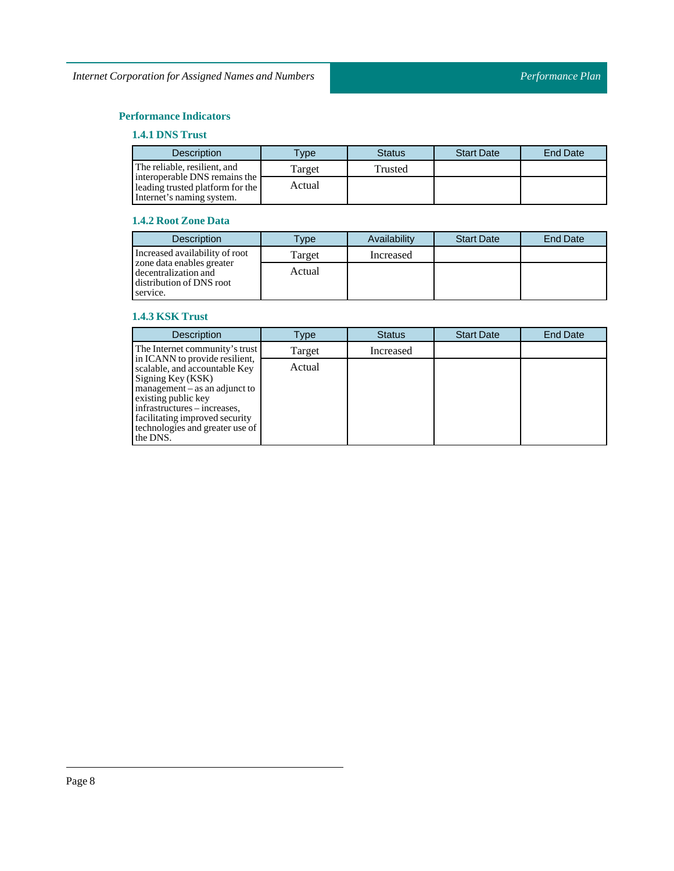### **1.4.1 DNS Trust**

| <b>Description</b>                                                                             | <b>VDe</b> | <b>Status</b> | <b>Start Date</b> | <b>End Date</b> |
|------------------------------------------------------------------------------------------------|------------|---------------|-------------------|-----------------|
| The reliable, resilient, and                                                                   | Target     | Trusted       |                   |                 |
| interoperable DNS remains the<br>leading trusted platform for the<br>Internet's naming system. | Actual     |               |                   |                 |

### **1.4.2 Root Zone Data**

| <b>Description</b>                                                                        | $T$ vpe | Availability | <b>Start Date</b> | <b>End Date</b> |
|-------------------------------------------------------------------------------------------|---------|--------------|-------------------|-----------------|
| Increased availability of root                                                            | Target  | Increased    |                   |                 |
| zone data enables greater<br>decentralization and<br>distribution of DNS root<br>service. | Actual  |              |                   |                 |

### **1.4.3 KSK Trust**

| <b>Description</b>                                                                                                                                                                                                                                               | Type   | <b>Status</b> | <b>Start Date</b> | <b>End Date</b> |
|------------------------------------------------------------------------------------------------------------------------------------------------------------------------------------------------------------------------------------------------------------------|--------|---------------|-------------------|-----------------|
| The Internet community's trust                                                                                                                                                                                                                                   | Target | Increased     |                   |                 |
| in ICANN to provide resilient,<br>scalable, and accountable Key<br>Signing Key (KSK)<br>$m$ anagement – as an adjunct to<br>existing public key<br>infrastructures – increases,<br>facilitating improved security<br>technologies and greater use of<br>the DNS. | Actual |               |                   |                 |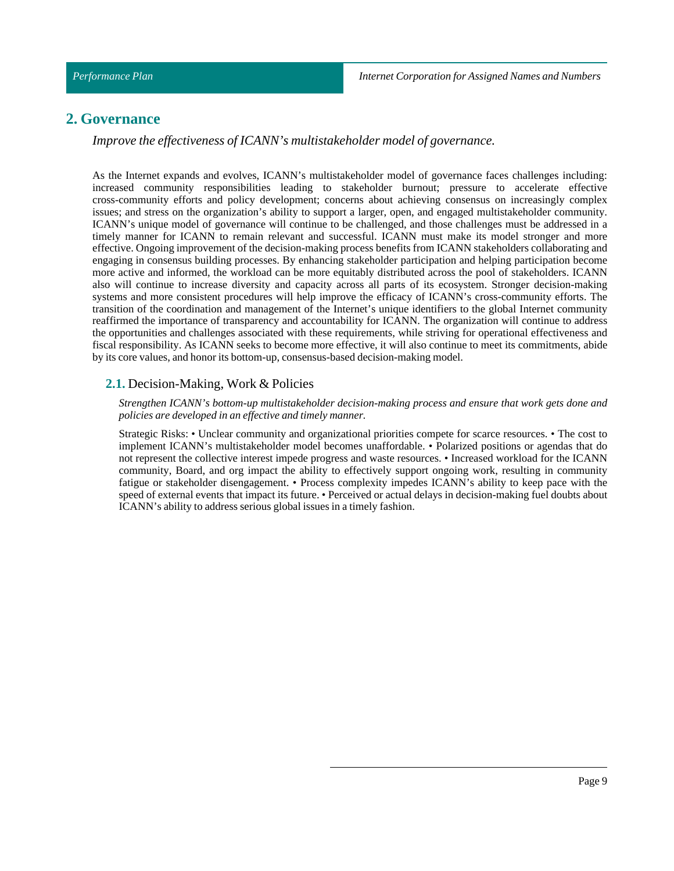# <span id="page-8-0"></span>**2. Governance**

*Improve the effectiveness of ICANN's multistakeholder model of governance.*

As the Internet expands and evolves, ICANN's multistakeholder model of governance faces challenges including: increased community responsibilities leading to stakeholder burnout; pressure to accelerate effective cross-community efforts and policy development; concerns about achieving consensus on increasingly complex issues; and stress on the organization's ability to support a larger, open, and engaged multistakeholder community. ICANN's unique model of governance will continue to be challenged, and those challenges must be addressed in a timely manner for ICANN to remain relevant and successful. ICANN must make its model stronger and more effective. Ongoing improvement of the decision-making process benefits from ICANN stakeholders collaborating and engaging in consensus building processes. By enhancing stakeholder participation and helping participation become more active and informed, the workload can be more equitably distributed across the pool of stakeholders. ICANN also will continue to increase diversity and capacity across all parts of its ecosystem. Stronger decision-making systems and more consistent procedures will help improve the efficacy of ICANN's cross-community efforts. The transition of the coordination and management of the Internet's unique identifiers to the global Internet community reaffirmed the importance of transparency and accountability for ICANN. The organization will continue to address the opportunities and challenges associated with these requirements, while striving for operational effectiveness and fiscal responsibility. As ICANN seeks to become more effective, it will also continue to meet its commitments, abide by its core values, and honor its bottom-up, consensus-based decision-making model.

### <span id="page-8-1"></span>**2.1.** Decision-Making, Work & Policies

*Strengthen ICANN's bottom-up multistakeholder decision-making process and ensure that work gets done and policies are developed in an effective and timely manner.*

Strategic Risks: • Unclear community and organizational priorities compete for scarce resources. • The cost to implement ICANN's multistakeholder model becomes unaffordable. • Polarized positions or agendas that do not represent the collective interest impede progress and waste resources. • Increased workload for the ICANN community, Board, and org impact the ability to effectively support ongoing work, resulting in community fatigue or stakeholder disengagement. • Process complexity impedes ICANN's ability to keep pace with the speed of external events that impact its future. • Perceived or actual delays in decision-making fuel doubts about ICANN's ability to address serious global issues in a timely fashion.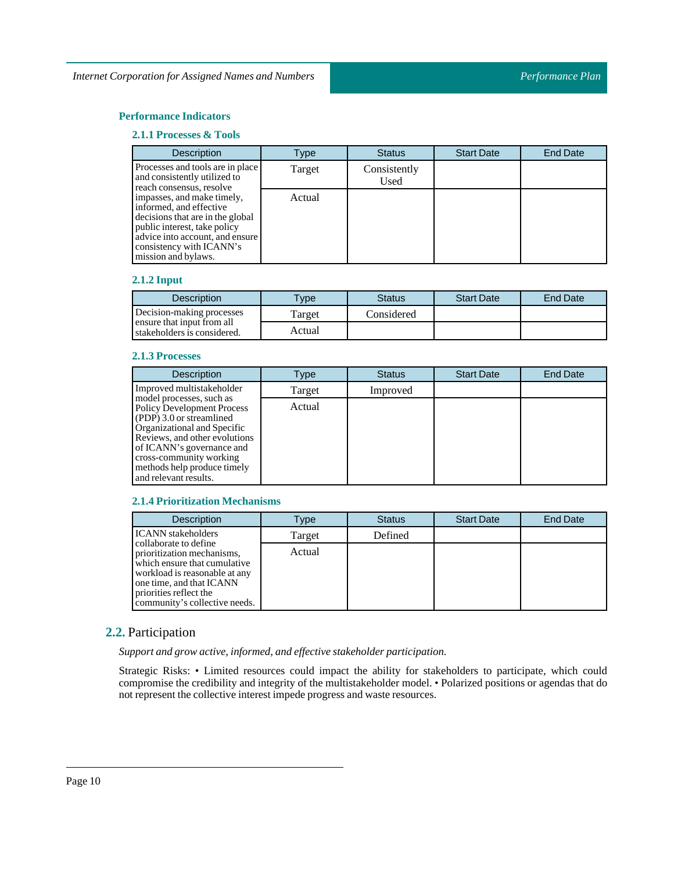### **2.1.1 Processes & Tools**

| <b>Description</b>                                                                                                                                                                                              | Type   | <b>Status</b>        | <b>Start Date</b> | <b>End Date</b> |
|-----------------------------------------------------------------------------------------------------------------------------------------------------------------------------------------------------------------|--------|----------------------|-------------------|-----------------|
| Processes and tools are in place<br>and consistently utilized to<br>reach consensus, resolve                                                                                                                    | Target | Consistently<br>Used |                   |                 |
| impasses, and make timely,<br>informed, and effective<br>decisions that are in the global<br>public interest, take policy<br>advice into account, and ensure<br>consistency with ICANN's<br>mission and bylaws. | Actual |                      |                   |                 |

### **2.1.2 Input**

| <b>Description</b>                                        | <b>Vpe</b> | <b>Status</b> | <b>Start Date</b> | End Date |
|-----------------------------------------------------------|------------|---------------|-------------------|----------|
| Decision-making processes                                 | Target     | Considered    |                   |          |
| ensure that input from all<br>stakeholders is considered. | Actual     |               |                   |          |

#### **2.1.3 Processes**

| <b>Description</b>                                                                                                                                                                                                                                                        | Type   | <b>Status</b> | <b>Start Date</b> | <b>End Date</b> |
|---------------------------------------------------------------------------------------------------------------------------------------------------------------------------------------------------------------------------------------------------------------------------|--------|---------------|-------------------|-----------------|
| Improved multistakeholder                                                                                                                                                                                                                                                 | Target | Improved      |                   |                 |
| model processes, such as<br><b>Policy Development Process</b><br>(PDP) 3.0 or streamlined<br>Organizational and Specific<br>Reviews, and other evolutions<br>of ICANN's governance and<br>cross-community working<br>methods help produce timely<br>and relevant results. | Actual |               |                   |                 |

#### **2.1.4 Prioritization Mechanisms**

| <b>Description</b>                                                                                                                                                                                          | Type   | <b>Status</b> | <b>Start Date</b> | <b>End Date</b> |
|-------------------------------------------------------------------------------------------------------------------------------------------------------------------------------------------------------------|--------|---------------|-------------------|-----------------|
| <b>ICANN</b> stakeholders                                                                                                                                                                                   | Target | Defined       |                   |                 |
| collaborate to define<br>prioritization mechanisms,<br>which ensure that cumulative<br>workload is reasonable at any<br>one time, and that ICANN<br>priorities reflect the<br>community's collective needs. | Actual |               |                   |                 |

### <span id="page-9-0"></span>**2.2.** Participation

*Support and grow active,informed, and effective stakeholder participation.*

Strategic Risks: • Limited resources could impact the ability for stakeholders to participate, which could compromise the credibility and integrity of the multistakeholder model. • Polarized positions or agendas that do not represent the collective interest impede progress and waste resources.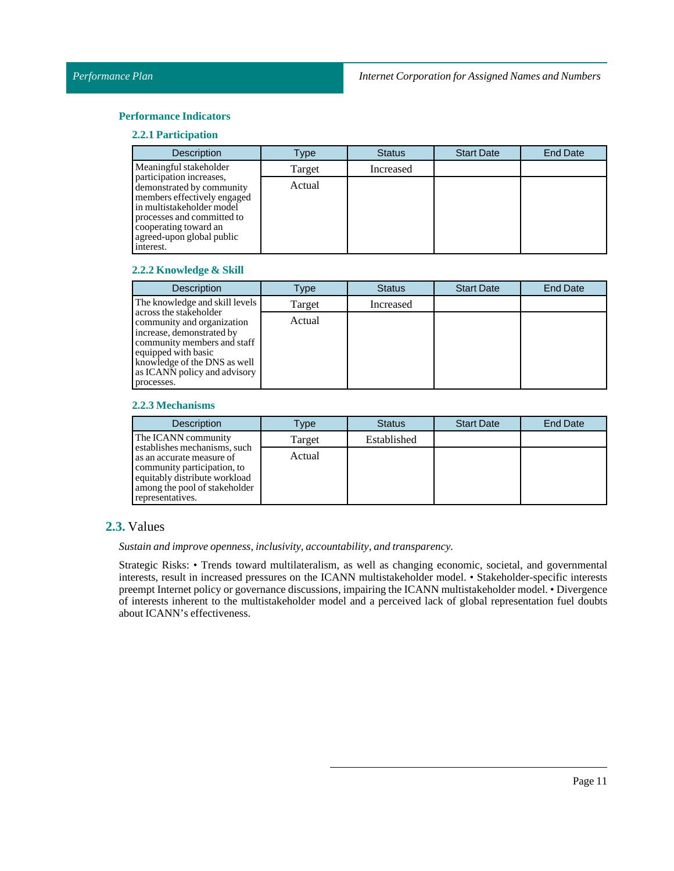#### **2.2.1 Participation**

| <b>Description</b>                                                                                                                                                                                                 | Type   | <b>Status</b> | <b>Start Date</b> | <b>End Date</b> |
|--------------------------------------------------------------------------------------------------------------------------------------------------------------------------------------------------------------------|--------|---------------|-------------------|-----------------|
| Meaningful stakeholder                                                                                                                                                                                             | Target | Increased     |                   |                 |
| participation increases,<br>demonstrated by community<br>members effectively engaged<br>in multistakeholder model<br>processes and committed to<br>cooperating toward an<br>agreed-upon global public<br>interest. | Actual |               |                   |                 |

#### **2.2.2 Knowledge & Skill**

| <b>Description</b>                                                                                                                                                                                                    | Type   | <b>Status</b> | <b>Start Date</b> | <b>End Date</b> |
|-----------------------------------------------------------------------------------------------------------------------------------------------------------------------------------------------------------------------|--------|---------------|-------------------|-----------------|
| The knowledge and skill levels                                                                                                                                                                                        | Target | Increased     |                   |                 |
| across the stakeholder<br>community and organization<br>increase, demonstrated by<br>community members and staff<br>equipped with basic<br>knowledge of the DNS as well<br>as ICANN policy and advisory<br>processes. | Actual |               |                   |                 |

### **2.2.3 Mechanisms**

| <b>Description</b>                                                                                                                                                             | <b>Type</b> | <b>Status</b> | <b>Start Date</b> | <b>End Date</b> |
|--------------------------------------------------------------------------------------------------------------------------------------------------------------------------------|-------------|---------------|-------------------|-----------------|
| The ICANN community                                                                                                                                                            | Target      | Established   |                   |                 |
| establishes mechanisms, such<br>as an accurate measure of<br>community participation, to<br>equitably distribute workload<br>among the pool of stakeholder<br>representatives. | Actual      |               |                   |                 |

### <span id="page-10-0"></span>**2.3.** Values

*Sustain and improve openness,inclusivity, accountability, and transparency.*

Strategic Risks: • Trends toward multilateralism, as well as changing economic, societal, and governmental interests, result in increased pressures on the ICANN multistakeholder model. • Stakeholder-specific interests preempt Internet policy or governance discussions, impairing the ICANN multistakeholder model. • Divergence of interests inherent to the multistakeholder model and a perceived lack of global representation fuel doubts about ICANN's effectiveness.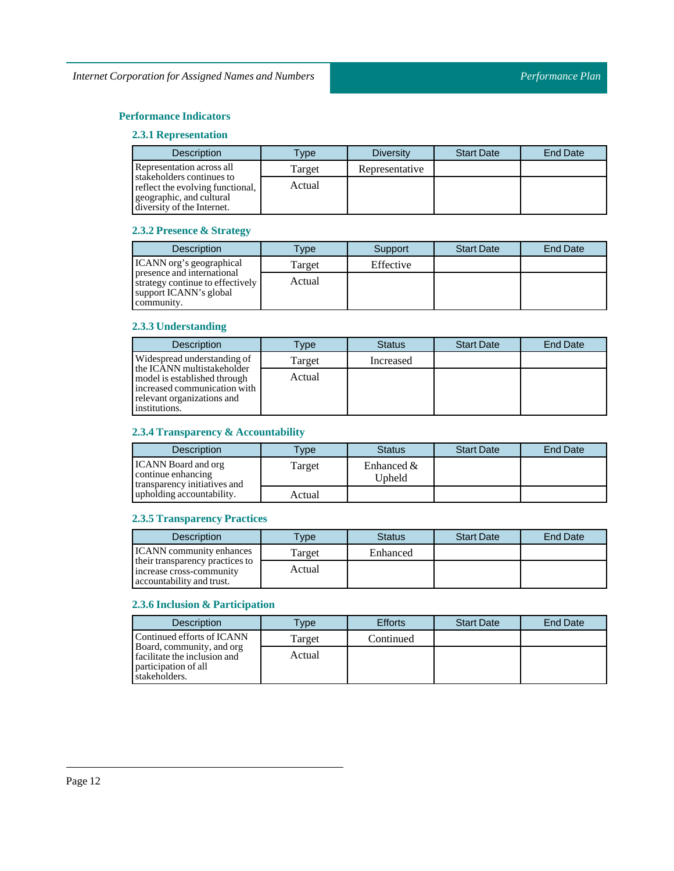### **2.3.1 Representation**

| <b>Description</b>                                            | Type:  | <b>Diversity</b> | <b>Start Date</b> | <b>End Date</b> |
|---------------------------------------------------------------|--------|------------------|-------------------|-----------------|
| Representation across all                                     | Target | Representative   |                   |                 |
| stakeholders continues to<br>reflect the evolving functional, | Actual |                  |                   |                 |
| geographic, and cultural<br>diversity of the Internet.        |        |                  |                   |                 |

### **2.3.2 Presence & Strategy**

| <b>Description</b>                                                                                     | Type   | Support   | <b>Start Date</b> | <b>End Date</b> |
|--------------------------------------------------------------------------------------------------------|--------|-----------|-------------------|-----------------|
| ICANN org's geographical                                                                               | Target | Effective |                   |                 |
| presence and international<br>strategy continue to effectively<br>support ICANN's global<br>community. | Actual |           |                   |                 |

### **2.3.3 Understanding**

| <b>Description</b>                                                                                                                        | Type   | <b>Status</b> | <b>Start Date</b> | <b>End Date</b> |
|-------------------------------------------------------------------------------------------------------------------------------------------|--------|---------------|-------------------|-----------------|
| Widespread understanding of                                                                                                               | Target | Increased     |                   |                 |
| the ICANN multistakeholder<br>model is established through<br>increased communication with<br>relevant organizations and<br>institutions. | Actual |               |                   |                 |

### **2.3.4 Transparency & Accountability**

| <b>Description</b>                                                               | <b>Type</b> | <b>Status</b>          | <b>Start Date</b> | <b>End Date</b> |
|----------------------------------------------------------------------------------|-------------|------------------------|-------------------|-----------------|
| <b>ICANN</b> Board and org<br>continue enhancing<br>transparency initiatives and | Target      | Enhanced $&$<br>Jpheld |                   |                 |
| upholding accountability.                                                        | Actual      |                        |                   |                 |

### **2.3.5 Transparency Practices**

| <b>Description</b>                                                                       | <b>VDe</b> | <b>Status</b> | <b>Start Date</b> | <b>End Date</b> |
|------------------------------------------------------------------------------------------|------------|---------------|-------------------|-----------------|
| <b>ICANN</b> community enhances                                                          | Target     | Enhanced      |                   |                 |
| their transparency practices to<br>increase cross-community<br>accountability and trust. | Actual     |               |                   |                 |

### **2.3.6 Inclusion & Participation**

| <b>Description</b>                                                                                 | <b>Vpe</b> | <b>Efforts</b> | <b>Start Date</b> | <b>End Date</b> |
|----------------------------------------------------------------------------------------------------|------------|----------------|-------------------|-----------------|
| Continued efforts of ICANN                                                                         | Target     | Continued      |                   |                 |
| Board, community, and org<br>facilitate the inclusion and<br>participation of all<br>stakeholders. | Actual     |                |                   |                 |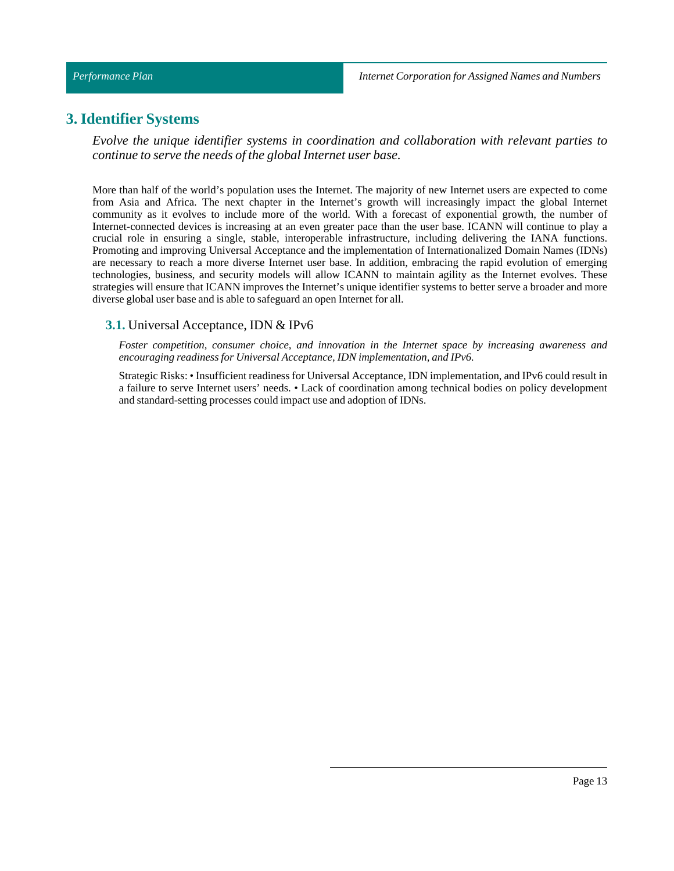# <span id="page-12-0"></span>**3. Identifier Systems**

*Evolve the unique identifier systems in coordination and collaboration with relevant parties to continue to serve the needs of the global Internet user base.*

More than half of the world's population uses the Internet. The majority of new Internet users are expected to come from Asia and Africa. The next chapter in the Internet's growth will increasingly impact the global Internet community as it evolves to include more of the world. With a forecast of exponential growth, the number of Internet-connected devices is increasing at an even greater pace than the user base. ICANN will continue to play a crucial role in ensuring a single, stable, interoperable infrastructure, including delivering the IANA functions. Promoting and improving Universal Acceptance and the implementation of Internationalized Domain Names (IDNs) are necessary to reach a more diverse Internet user base. In addition, embracing the rapid evolution of emerging technologies, business, and security models will allow ICANN to maintain agility as the Internet evolves. These strategies will ensure that ICANN improves the Internet's unique identifier systems to better serve a broader and more diverse global user base and is able to safeguard an open Internet for all.

### <span id="page-12-1"></span>**3.1.** Universal Acceptance, IDN & IPv6

*Foster competition, consumer choice, and innovation in the Internet space by increasing awareness and encouraging readiness for Universal Acceptance, IDN implementation, and IPv6.*

Strategic Risks: • Insufficient readiness for Universal Acceptance, IDN implementation, and IPv6 could result in a failure to serve Internet users' needs. • Lack of coordination among technical bodies on policy development and standard-setting processes could impact use and adoption of IDNs.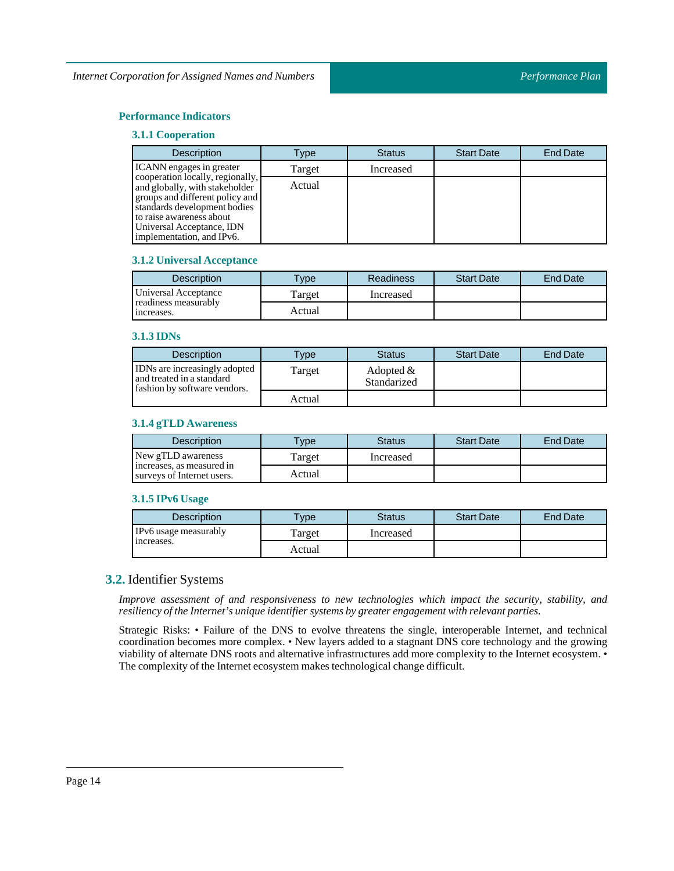#### **3.1.1 Cooperation**

| <b>Description</b>                                                                                                                                                                                                          | Type   | <b>Status</b> | <b>Start Date</b> | <b>End Date</b> |
|-----------------------------------------------------------------------------------------------------------------------------------------------------------------------------------------------------------------------------|--------|---------------|-------------------|-----------------|
| <b>ICANN</b> engages in greater                                                                                                                                                                                             | Target | Increased     |                   |                 |
| cooperation locally, regionally,<br>and globally, with stakeholder<br>groups and different policy and<br>standards development bodies<br>to raise awareness about<br>Universal Acceptance, IDN<br>implementation, and IPv6. | Actual |               |                   |                 |

#### **3.1.2 Universal Acceptance**

| <b>Description</b>                 | vpe    | <b>Readiness</b> | <b>Start Date</b> | End Date |
|------------------------------------|--------|------------------|-------------------|----------|
| Universal Acceptance               | Target | Increased        |                   |          |
| readiness measurably<br>increases. | Actual |                  |                   |          |

#### **3.1.3 IDNs**

| <b>Description</b>                                                                         | <b>Vpe</b> | <b>Status</b>               | <b>Start Date</b> | <b>End Date</b> |
|--------------------------------------------------------------------------------------------|------------|-----------------------------|-------------------|-----------------|
| IDNs are increasingly adopted<br>and treated in a standard<br>fashion by software vendors. | Target     | Adopted $\&$<br>Standarized |                   |                 |
|                                                                                            | Actual     |                             |                   |                 |

#### **3.1.4 gTLD Awareness**

| <b>Description</b>                                      | $T$ vpe | <b>Status</b> | <b>Start Date</b> | <b>End Date</b> |
|---------------------------------------------------------|---------|---------------|-------------------|-----------------|
| New gTLD awareness                                      | Target  | Increased     |                   |                 |
| increases, as measured in<br>surveys of Internet users. | Actual  |               |                   |                 |

#### **3.1.5 IPv6 Usage**

| Description           | $T$ vpe | Status    | <b>Start Date</b> | <b>End Date</b> |
|-----------------------|---------|-----------|-------------------|-----------------|
| IPv6 usage measurably | Target  | Increased |                   |                 |
| increases.            | Actual  |           |                   |                 |

### <span id="page-13-0"></span>**3.2.** Identifier Systems

*Improve assessment of and responsiveness to new technologies which impact the security, stability, and resiliency ofthe Internet's unique identifier systems by greater engagement with relevant parties.*

Strategic Risks: • Failure of the DNS to evolve threatens the single, interoperable Internet, and technical coordination becomes more complex. • New layers added to a stagnant DNS core technology and the growing viability of alternate DNS roots and alternative infrastructures add more complexity to the Internet ecosystem. The complexity of the Internet ecosystem makes technological change difficult.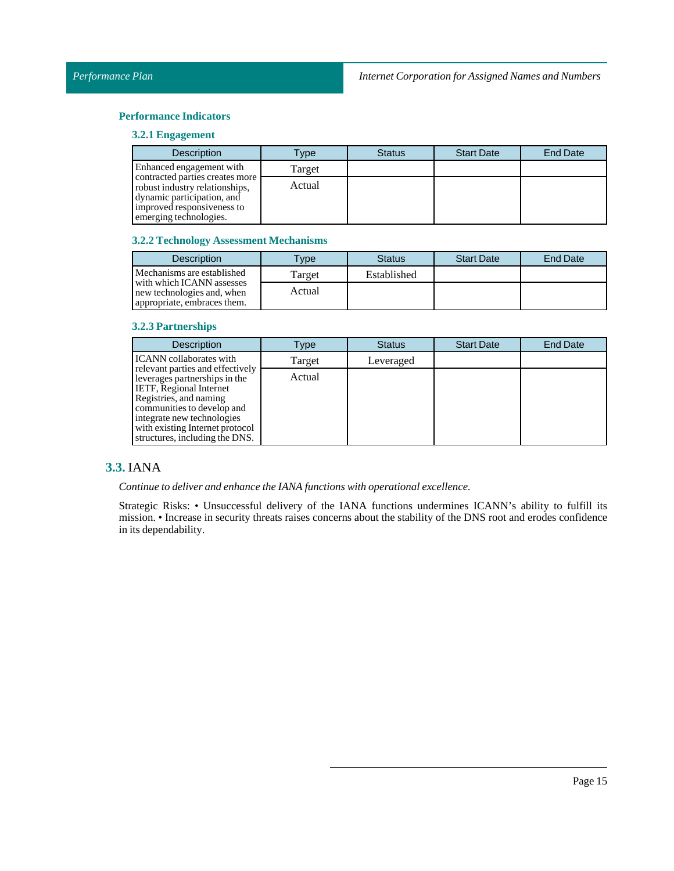### **3.2.1 Engagement**

| <b>Description</b>                                                                                                                                      | <b>Type</b> | <b>Status</b> | <b>Start Date</b> | <b>End Date</b> |
|---------------------------------------------------------------------------------------------------------------------------------------------------------|-------------|---------------|-------------------|-----------------|
| Enhanced engagement with                                                                                                                                | Target      |               |                   |                 |
| contracted parties creates more<br>robust industry relationships,<br>dynamic participation, and<br>improved responsiveness to<br>emerging technologies. | Actual      |               |                   |                 |

#### **3.2.2 Technology Assessment Mechanisms**

| <b>Description</b>                                                                     | vpe    | <b>Status</b> | <b>Start Date</b> | End Date |
|----------------------------------------------------------------------------------------|--------|---------------|-------------------|----------|
| Mechanisms are established                                                             | Target | Established   |                   |          |
| with which ICANN assesses<br>new technologies and, when<br>appropriate, embraces them. | Actual |               |                   |          |

### **3.2.3 Partnerships**

| <b>Description</b>                                                                                                                                                                                                                                             | Type   | <b>Status</b> | <b>Start Date</b> | <b>End Date</b> |
|----------------------------------------------------------------------------------------------------------------------------------------------------------------------------------------------------------------------------------------------------------------|--------|---------------|-------------------|-----------------|
| <b>ICANN</b> collaborates with                                                                                                                                                                                                                                 | Target | Leveraged     |                   |                 |
| relevant parties and effectively<br>leverages partnerships in the<br><b>IETF, Regional Internet</b><br>Registries, and naming<br>communities to develop and<br>integrate new technologies<br>with existing Internet protocol<br>structures, including the DNS. | Actual |               |                   |                 |

### <span id="page-14-0"></span>**3.3.** IANA

#### *Continue to deliver and enhance the IANA functions with operational excellence.*

Strategic Risks: • Unsuccessful delivery of the IANA functions undermines ICANN's ability to fulfill its mission. • Increase in security threats raises concerns about the stability of the DNS root and erodes confidence in its dependability.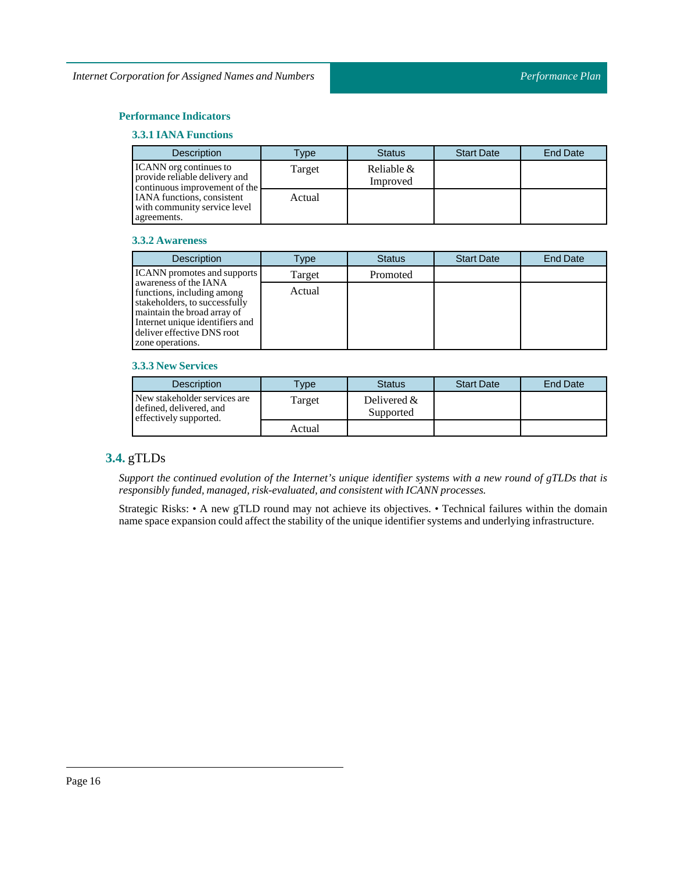### **3.3.1 IANA Functions**

| <b>Description</b>                                                                              | Type   | <b>Status</b>            | <b>Start Date</b> | End Date |
|-------------------------------------------------------------------------------------------------|--------|--------------------------|-------------------|----------|
| <b>ICANN</b> org continues to<br>provide reliable delivery and<br>continuous improvement of the | Target | Reliable $&$<br>Improved |                   |          |
| <b>IANA</b> functions, consistent<br>with community service level<br>agreements.                | Actual |                          |                   |          |

#### **3.3.2 Awareness**

| <b>Description</b>                                                                                                                                                                                       | Type   | <b>Status</b> | <b>Start Date</b> | <b>End Date</b> |
|----------------------------------------------------------------------------------------------------------------------------------------------------------------------------------------------------------|--------|---------------|-------------------|-----------------|
| <b>ICANN</b> promotes and supports                                                                                                                                                                       | Target | Promoted      |                   |                 |
| awareness of the IANA<br>functions, including among<br>stakeholders, to successfully<br>maintain the broad array of<br>Internet unique identifiers and<br>deliver effective DNS root<br>zone operations. | Actual |               |                   |                 |

#### **3.3.3 New Services**

| <b>Description</b>                                                                | $T$ vpe | <b>Status</b>              | <b>Start Date</b> | <b>End Date</b> |
|-----------------------------------------------------------------------------------|---------|----------------------------|-------------------|-----------------|
| New stakeholder services are<br>defined, delivered, and<br>effectively supported. | Target  | Delivered $&$<br>Supported |                   |                 |
|                                                                                   | Actual  |                            |                   |                 |

### <span id="page-15-0"></span>**3.4.** gTLDs

Support the continued evolution of the Internet's unique identifier systems with a new round of gTLDs that is *responsibly funded, managed, risk-evaluated, and consistent with ICANN processes.*

Strategic Risks: • A new gTLD round may not achieve its objectives. • Technical failures within the domain name space expansion could affect the stability of the unique identifier systems and underlying infrastructure.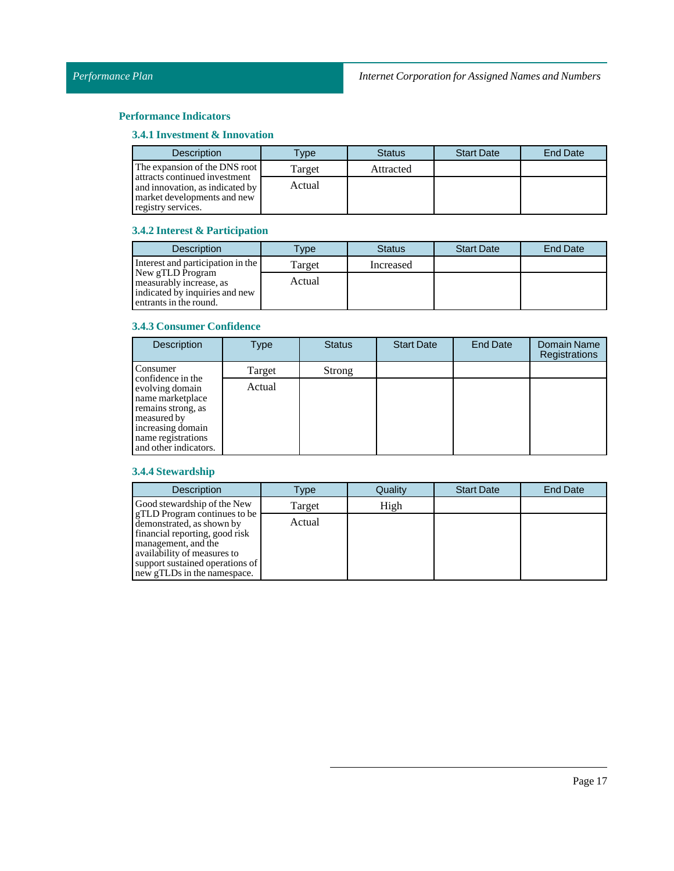### **3.4.1 Investment & Innovation**

| <b>Description</b>                                                                                                    | <b>Type</b> | <b>Status</b> | <b>Start Date</b> | End Date |
|-----------------------------------------------------------------------------------------------------------------------|-------------|---------------|-------------------|----------|
| The expansion of the DNS root                                                                                         | Target      | Attracted     |                   |          |
| attracts continued investment<br>and innovation, as indicated by<br>market developments and new<br>registry services. | Actual      |               |                   |          |

### **3.4.2 Interest & Participation**

| <b>Description</b>                                                                                      | <b>Type</b> | <b>Status</b> | <b>Start Date</b> | <b>End Date</b> |
|---------------------------------------------------------------------------------------------------------|-------------|---------------|-------------------|-----------------|
| Interest and participation in the                                                                       | Target      | Increased     |                   |                 |
| New gTLD Program<br>measurably increase, as<br>indicated by inquiries and new<br>entrants in the round. | Actual      |               |                   |                 |

### **3.4.3 Consumer Confidence**

| <b>Description</b>                                                                                                                                                | Type   | <b>Status</b> | <b>Start Date</b> | <b>End Date</b> | Domain Name<br><b>Registrations</b> |
|-------------------------------------------------------------------------------------------------------------------------------------------------------------------|--------|---------------|-------------------|-----------------|-------------------------------------|
| Consumer                                                                                                                                                          | Target | Strong        |                   |                 |                                     |
| confidence in the<br>evolving domain<br>name marketplace<br>remains strong, as<br>measured by<br>increasing domain<br>name registrations<br>and other indicators. | Actual |               |                   |                 |                                     |

### **3.4.4Stewardship**

| <b>Description</b>                                                                                                                                                                                                  | Type   | Quality | <b>Start Date</b> | <b>End Date</b> |
|---------------------------------------------------------------------------------------------------------------------------------------------------------------------------------------------------------------------|--------|---------|-------------------|-----------------|
| Good stewardship of the New                                                                                                                                                                                         | Target | High    |                   |                 |
| gTLD Program continues to be<br>demonstrated, as shown by<br>financial reporting, good risk<br>management, and the<br>availability of measures to<br>support sustained operations of<br>new gTLDs in the namespace. | Actual |         |                   |                 |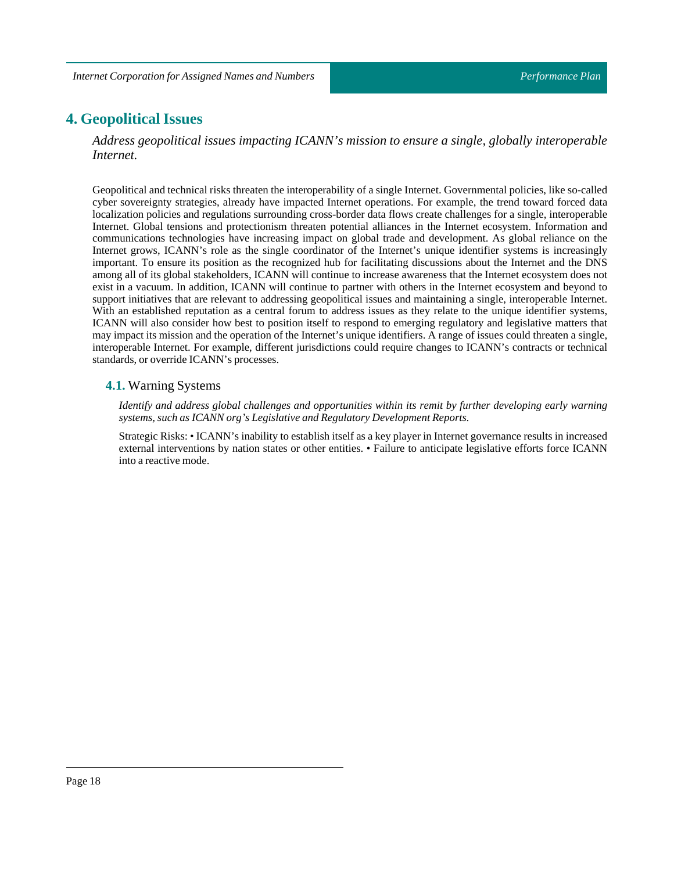*Internet Corporation for Assigned Names and Numbers*

# <span id="page-17-0"></span>PLACEHOLDER\_39 **4. Geopolitical Issues**

*Address geopolitical issues impacting ICANN's mission to ensure a single, globally interoperable Internet.*

Geopolitical and technical risks threaten the interoperability of a single Internet. Governmental policies, like so-called cyber sovereignty strategies, already have impacted Internet operations. For example, the trend toward forced data localization policies and regulations surrounding cross-border data flows create challenges for a single, interoperable Internet. Global tensions and protectionism threaten potential alliances in the Internet ecosystem. Information and communications technologies have increasing impact on global trade and development. As global reliance on the Internet grows, ICANN's role as the single coordinator of the Internet's unique identifier systems is increasingly important. To ensure its position as the recognized hub for facilitating discussions about the Internet and the DNS among all of its global stakeholders, ICANN will continue to increase awareness that the Internet ecosystem does not exist in a vacuum. In addition, ICANN will continue to partner with others in the Internet ecosystem and beyond to support initiatives that are relevant to addressing geopolitical issues and maintaining a single, interoperable Internet. With an established reputation as a central forum to address issues as they relate to the unique identifier systems, ICANN will also consider how best to position itself to respond to emerging regulatory and legislative matters that may impact its mission and the operation of the Internet's unique identifiers. A range of issues could threaten a single, interoperable Internet. For example, different jurisdictions could require changes to ICANN's contracts or technical standards, or override ICANN's processes.

### <span id="page-17-1"></span>**4.1.** Warning Systems

*Identify and address global challenges and opportunities within its remit by further developing early warning systems, such as ICANN org'sLegislative and Regulatory Development Reports.*

Strategic Risks: • ICANN's inability to establish itself as a key player in Internet governance results in increased external interventions by nation states or other entities. • Failure to anticipate legislative efforts force ICANN into a reactive mode.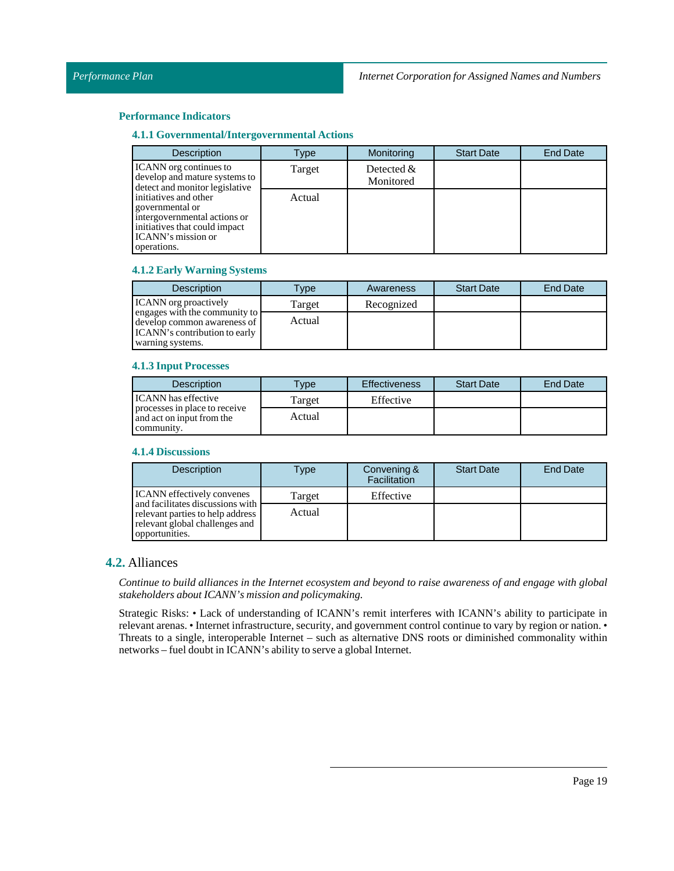### **4.1.1 Governmental/Intergovernmental Actions**

| <b>Description</b>                                                                                                                             | Type   | Monitoring                | <b>Start Date</b> | <b>End Date</b> |
|------------------------------------------------------------------------------------------------------------------------------------------------|--------|---------------------------|-------------------|-----------------|
| <b>ICANN</b> org continues to<br>develop and mature systems to<br>detect and monitor legislative                                               | Target | Detected $&$<br>Monitored |                   |                 |
| initiatives and other<br>governmental or<br>intergovernmental actions or<br>initiatives that could impact<br>ICANN's mission or<br>operations. | Actual |                           |                   |                 |

#### **4.1.2 Early WarningSystems**

| <b>Description</b>                                                                                                       | <b>Type</b> | Awareness  | <b>Start Date</b> | <b>End Date</b> |
|--------------------------------------------------------------------------------------------------------------------------|-------------|------------|-------------------|-----------------|
| <b>ICANN</b> org proactively                                                                                             | Target      | Recognized |                   |                 |
| engages with the community to<br>develop common awareness of<br><b>ICANN's contribution to early</b><br>warning systems. | Actual      |            |                   |                 |

#### **4.1.3 Input Processes**

| <b>Description</b>                                                       | <b>Type</b> | <b>Effectiveness</b> | <b>Start Date</b> | <b>End Date</b> |
|--------------------------------------------------------------------------|-------------|----------------------|-------------------|-----------------|
| <b>ICANN</b> has effective                                               | Target      | Effective            |                   |                 |
| processes in place to receive<br>and act on input from the<br>community. | Actual      |                      |                   |                 |

#### **4.1.4 Discussions**

| <b>Description</b>                                                                                                       | Type   | Convening &<br><b>Facilitation</b> | <b>Start Date</b> | <b>End Date</b> |
|--------------------------------------------------------------------------------------------------------------------------|--------|------------------------------------|-------------------|-----------------|
| <b>ICANN</b> effectively convenes                                                                                        | Target | Effective                          |                   |                 |
| and facilitates discussions with<br>relevant parties to help address<br>relevant global challenges and<br>opportunities. | Actual |                                    |                   |                 |

### <span id="page-18-0"></span>**4.2.** Alliances

Continue to build alliances in the Internet ecosystem and beyond to raise awareness of and engage with global *stakeholders about ICANN's mission and policymaking.*

Strategic Risks: • Lack of understanding of ICANN's remit interferes with ICANN's ability to participate in relevant arenas. • Internetinfrastructure, security, and government control continue to vary by region or nation. • Threats to a single, interoperable Internet – such as alternative DNS roots or diminished commonality within networks – fuel doubt in ICANN's ability to serve a global Internet.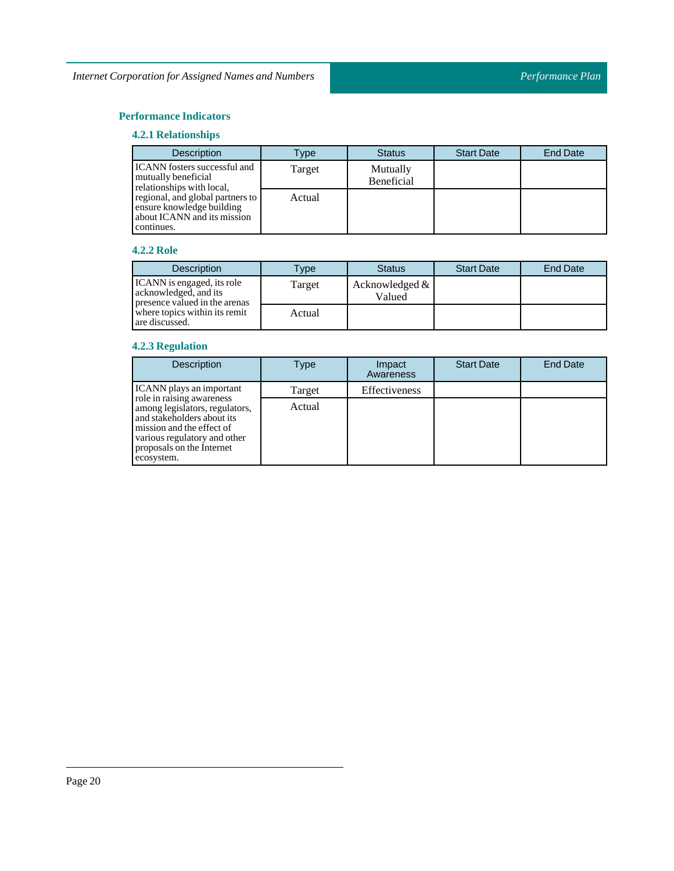### **4.2.1 Relationships**

| <b>Description</b>                                                                                         | Type   | <b>Status</b>                 | <b>Start Date</b> | <b>End Date</b> |
|------------------------------------------------------------------------------------------------------------|--------|-------------------------------|-------------------|-----------------|
| ICANN fosters successful and<br>mutually beneficial<br>relationships with local,                           | Target | Mutually<br><b>Beneficial</b> |                   |                 |
| regional, and global partners to<br>ensure knowledge building<br>about ICANN and its mission<br>continues. | Actual |                               |                   |                 |

### **4.2.2 Role**

| <b>Description</b>                                                                   | $T$ vpe | <b>Status</b>               | <b>Start Date</b> | <b>End Date</b> |
|--------------------------------------------------------------------------------------|---------|-----------------------------|-------------------|-----------------|
| ICANN is engaged, its role<br>acknowledged, and its<br>presence valued in the arenas | Target  | Acknowledged $\&$<br>Valued |                   |                 |
| where topics within its remit<br>are discussed.                                      | Actual  |                             |                   |                 |

### **4.2.3 Regulation**

| <b>Description</b>                                                                                                                                                                                | Type   | Impact<br>Awareness | <b>Start Date</b> | <b>End Date</b> |
|---------------------------------------------------------------------------------------------------------------------------------------------------------------------------------------------------|--------|---------------------|-------------------|-----------------|
| ICANN plays an important                                                                                                                                                                          | Target | Effectiveness       |                   |                 |
| role in raising awareness<br>among legislators, regulators,<br>and stakeholders about its<br>mission and the effect of<br>various regulatory and other<br>proposals on the Internet<br>ecosystem. | Actual |                     |                   |                 |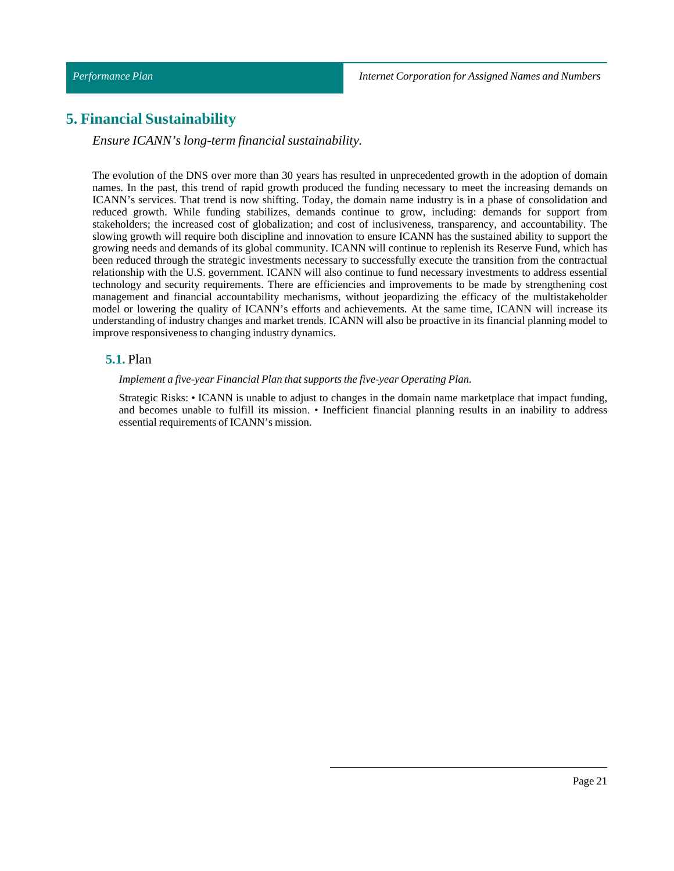## <span id="page-20-0"></span>**5. Financial Sustainability**

*Ensure ICANN's long-term financial sustainability.*

The evolution of the DNS over more than 30 years has resulted in unprecedented growth in the adoption of domain names. In the past, this trend of rapid growth produced the funding necessary to meet the increasing demands on ICANN's services. That trend is now shifting. Today, the domain name industry is in a phase of consolidation and reduced growth. While funding stabilizes, demands continue to grow, including: demands for support from stakeholders; the increased cost of globalization; and cost of inclusiveness, transparency, and accountability. The slowing growth will require both discipline and innovation to ensure ICANN has the sustained ability to support the growing needs and demands of its global community. ICANN will continue to replenish its Reserve Fund, which has been reduced through the strategic investments necessary to successfully execute the transition from the contractual relationship with the U.S. government. ICANN will also continue to fund necessary investments to address essential technology and security requirements. There are efficiencies and improvements to be made by strengthening cost management and financial accountability mechanisms, without jeopardizing the efficacy of the multistakeholder model or lowering the quality of ICANN's efforts and achievements. At the same time, ICANN will increase its understanding of industry changes and market trends. ICANN will also be proactive in its financial planning model to improve responsiveness to changing industry dynamics.

### <span id="page-20-1"></span>**5.1.** Plan

#### *Implement a five-year Financial Plan that supports the five-year Operating Plan.*

Strategic Risks: • ICANN is unable to adjust to changes in the domain name marketplace that impact funding, and becomes unable to fulfill its mission. • Inefficient financial planning results in an inability to address essential requirements of ICANN's mission.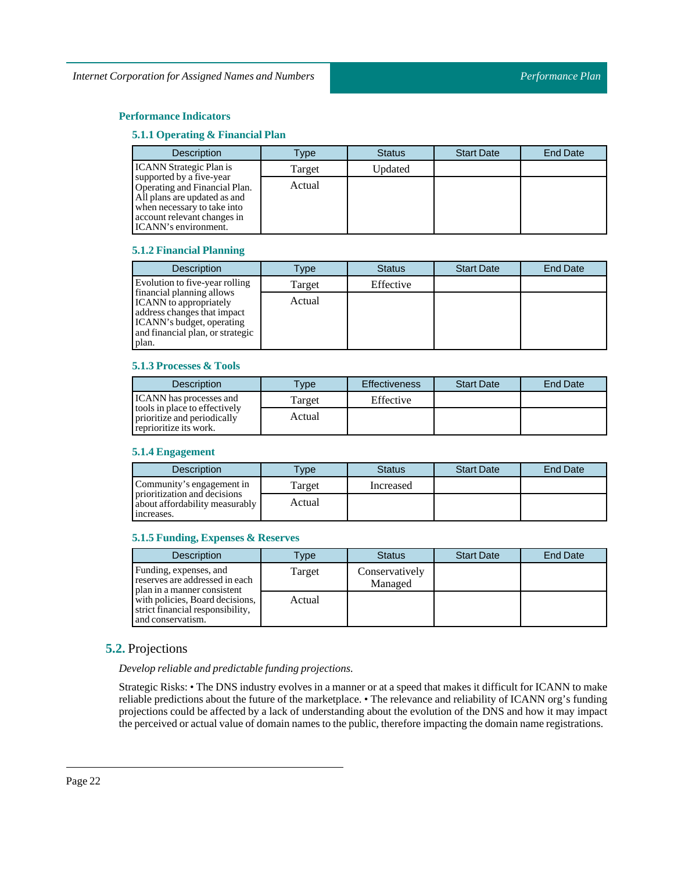#### **5.1.1 Operating & Financial Plan**

| <b>Description</b>                                                                                                                                                              | Type   | <b>Status</b> | <b>Start Date</b> | <b>End Date</b> |
|---------------------------------------------------------------------------------------------------------------------------------------------------------------------------------|--------|---------------|-------------------|-----------------|
| <b>ICANN</b> Strategic Plan is                                                                                                                                                  | Target | Updated       |                   |                 |
| supported by a five-year<br>Operating and Financial Plan.<br>All plans are updated as and<br>when necessary to take into<br>account relevant changes in<br>ICANN's environment. | Actual |               |                   |                 |

### **5.1.2 Financial Planning**

| <b>Description</b>                                                                                                                                                  | Type   | <b>Status</b> | <b>Start Date</b> | End Date |
|---------------------------------------------------------------------------------------------------------------------------------------------------------------------|--------|---------------|-------------------|----------|
| Evolution to five-year rolling                                                                                                                                      | Target | Effective     |                   |          |
| financial planning allows<br><b>ICANN</b> to appropriately<br>address changes that impact<br>ICANN's budget, operating<br>and financial plan, or strategic<br>plan. | Actual |               |                   |          |

#### **5.1.3 Processes & Tools**

| <b>Description</b>                                                                     | <b>Vpe</b> | <b>Effectiveness</b> | <b>Start Date</b> | End Date |
|----------------------------------------------------------------------------------------|------------|----------------------|-------------------|----------|
| <b>ICANN</b> has processes and                                                         | Target     | Effective            |                   |          |
| tools in place to effectively<br>prioritize and periodically<br>reprioritize its work. | Actual     |                      |                   |          |

#### **5.1.4 Engagement**

| <b>Description</b>                                                           | <b>Type</b> | <b>Status</b> | <b>Start Date</b> | <b>End Date</b> |
|------------------------------------------------------------------------------|-------------|---------------|-------------------|-----------------|
| Community's engagement in                                                    | Target      | Increased     |                   |                 |
| prioritization and decisions<br>about affordability measurably<br>increases. | Actual      |               |                   |                 |

### **5.1.5 Funding, Expenses & Reserves**

| <b>Description</b>                                                                       | Type   | <b>Status</b>             | <b>Start Date</b> | <b>End Date</b> |
|------------------------------------------------------------------------------------------|--------|---------------------------|-------------------|-----------------|
| Funding, expenses, and<br>reserves are addressed in each<br>plan in a manner consistent  | Target | Conservatively<br>Managed |                   |                 |
| with policies, Board decisions,<br>strict financial responsibility,<br>and conservatism. | Actual |                           |                   |                 |

### <span id="page-21-0"></span>**5.2.** Projections

*Develop reliable and predictable funding projections.*

Strategic Risks: • The DNS industry evolves in a manner or at a speed that makes it difficult for ICANN to make reliable predictions about the future of the marketplace. • The relevance and reliability of ICANN org's funding projections could be affected by a lack of understanding about the evolution of the DNS and how it may impact the perceived or actual value of domain names to the public, therefore impacting the domain name registrations.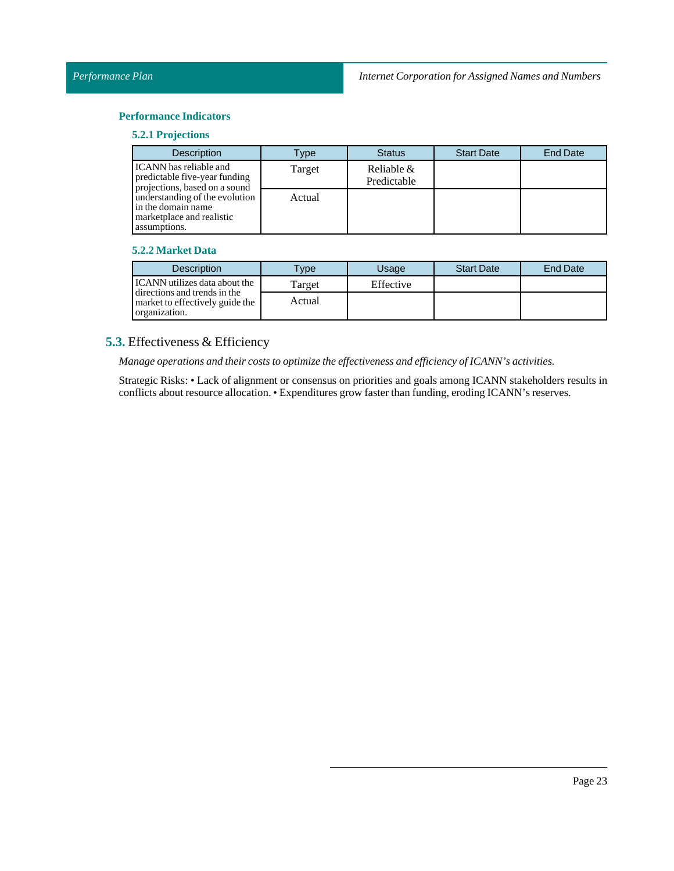#### **5.2.1 Projections**

| <b>Description</b>                                                                                | Type   | <b>Status</b>               | <b>Start Date</b> | <b>End Date</b> |
|---------------------------------------------------------------------------------------------------|--------|-----------------------------|-------------------|-----------------|
| <b>ICANN</b> has reliable and<br>predictable five-year funding<br>projections, based on a sound   | Target | Reliable $&$<br>Predictable |                   |                 |
| understanding of the evolution<br>in the domain name<br>marketplace and realistic<br>assumptions. | Actual |                             |                   |                 |

### **5.2.2 Market Data**

| <b>Description</b>                                                               | <b>Vpe</b> | Usage     | <b>Start Date</b> | <b>End Date</b> |
|----------------------------------------------------------------------------------|------------|-----------|-------------------|-----------------|
| <b>ICANN</b> utilizes data about the                                             | Target     | Effective |                   |                 |
| directions and trends in the<br>market to effectively guide the<br>organization. | Actual     |           |                   |                 |

### <span id="page-22-0"></span>**5.3.** Effectiveness & Efficiency

*Manage operations and their costs to optimize the effectiveness and efficiency of ICANN's activities.*

Strategic Risks: • Lack of alignment or consensus on priorities and goals among ICANN stakeholders results in conflicts about resource allocation. • Expenditures grow faster than funding, eroding ICANN's reserves.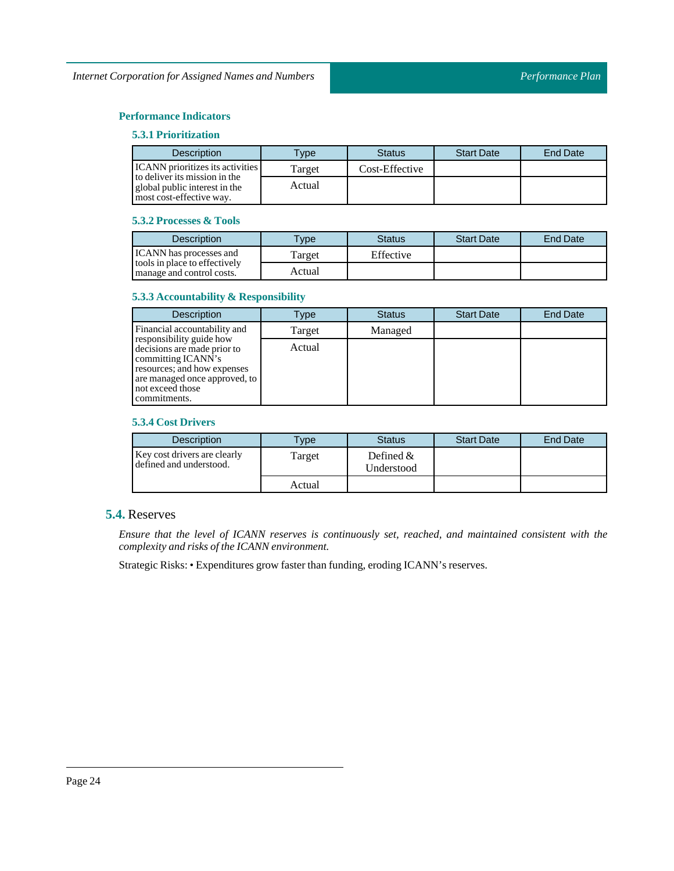### **5.3.1 Prioritization**

| <b>Description</b>                                                                         | <b>Type</b> | <b>Status</b>  | <b>Start Date</b> | <b>End Date</b> |
|--------------------------------------------------------------------------------------------|-------------|----------------|-------------------|-----------------|
| <b>ICANN</b> prioritizes its activities                                                    | Target      | Cost-Effective |                   |                 |
| to deliver its mission in the<br>global public interest in the<br>most cost-effective way. | Actual      |                |                   |                 |

#### **5.3.2 Processes & Tools**

| <b>Description</b>                                         | vpe    | <b>Status</b> | <b>Start Date</b> | <b>End Date</b> |
|------------------------------------------------------------|--------|---------------|-------------------|-----------------|
| <b>ICANN</b> has processes and                             | Target | Effective     |                   |                 |
| tools in place to effectively<br>manage and control costs. | Actual |               |                   |                 |

### **5.3.3 Accountability & Responsibility**

| <b>Description</b>                                                                                                                                                                | Type   | <b>Status</b> | <b>Start Date</b> | <b>End Date</b> |
|-----------------------------------------------------------------------------------------------------------------------------------------------------------------------------------|--------|---------------|-------------------|-----------------|
| Financial accountability and                                                                                                                                                      | Target | Managed       |                   |                 |
| responsibility guide how<br>decisions are made prior to<br>committing ICANN's<br>resources; and how expenses<br>are managed once approved, to<br>not exceed those<br>commitments. | Actual |               |                   |                 |

#### **5.3.4 Cost Drivers**

| <b>Description</b>                                      | <b>VDe</b> | <b>Status</b>              | <b>Start Date</b> | <b>End Date</b> |
|---------------------------------------------------------|------------|----------------------------|-------------------|-----------------|
| Key cost drivers are clearly<br>defined and understood. | Target     | Defined $\&$<br>Understood |                   |                 |
|                                                         | Actual     |                            |                   |                 |

### <span id="page-23-0"></span>**5.4.** Reserves

*Ensure that the level of ICANN reserves is continuously set, reached, and maintained consistent with the complexity and risks ofthe ICANN environment.*

Strategic Risks: • Expenditures grow faster than funding, eroding ICANN's reserves.